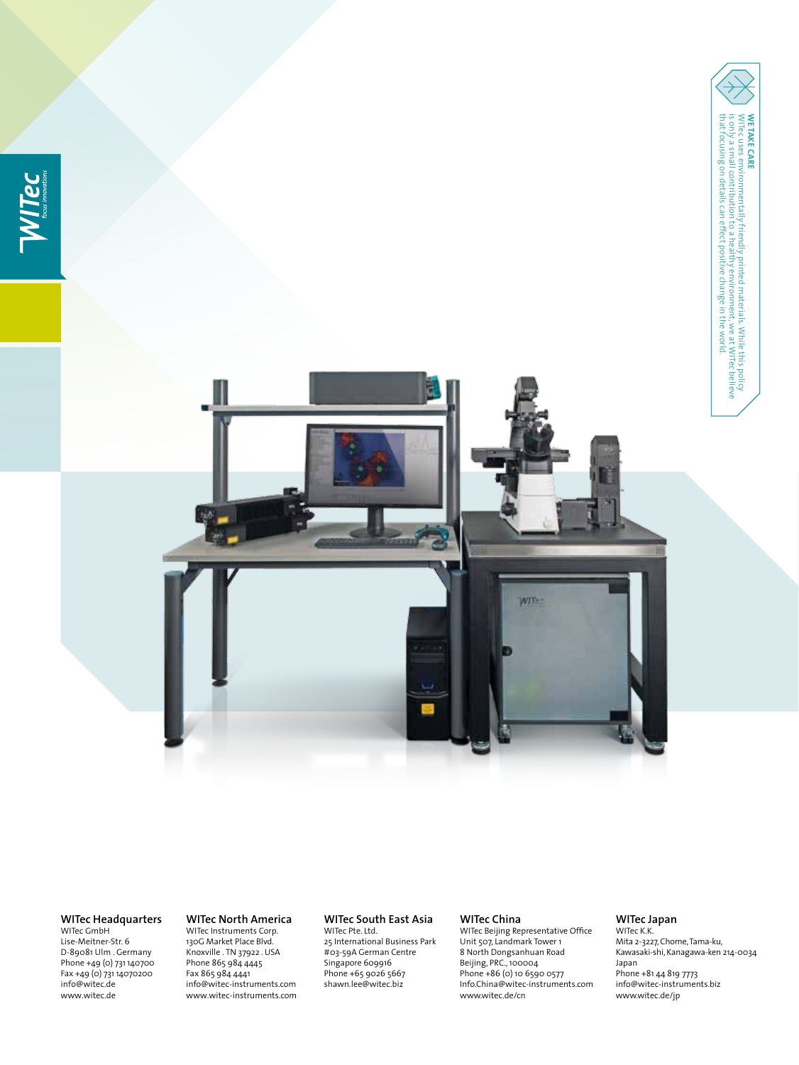



**WITec Headquarters**

WITec GmbH Lise-Meitner-Str. 6 D-89081 Ulm . Germany Phone +49 (0) 731 140700 Fax +49 (0) 731 14070200 info@witec.de www.witec.de

### **WITec North America** WITec Instruments Corp.

130G Market Place Blvd. Knoxville . TN 37922 . USA Phone 865 984 4445 Fax 865 984 4441 info@witec-instruments.com www.witec-instruments.com

## **WITec South East Asia**

WITec Pte. Ltd. 25 International Business Park #03-59A German Centre Singapore 609916 Phone +65 9026 5667 shawn.lee@witec.biz

### **WITec China**

WITec Beijing Representative Office Unit 507, Landmark Tower 1 8 North Dongsanhuan Road Beijing, PRC., 100004 Phone +86 (0) 10 6590 0577 Info.China@witec-instruments.com www.witec.de/cn

## **WITec Japan**

WITec K.K. Mita 2-3227, Chome, Tama-ku, Kawasaki-shi, Kanagawa-ken 214-0034 Japan Phone +81 44 819 7773 info@witec-instruments.biz www.witec.de/jp

that focusing on details can effect positive change in the world. is only a small contribution to a healthy environment, we at WITec believe WITEC uses environmentally friendly printed materials. While this policy

**WE TAKE CARE**<br>WITec uses environmentally friendly printed materials. While this policy<br>is only a small contribution to a healthy environment, we at WITec believe<br>that focusing on details can effect positive change in the

**We take care**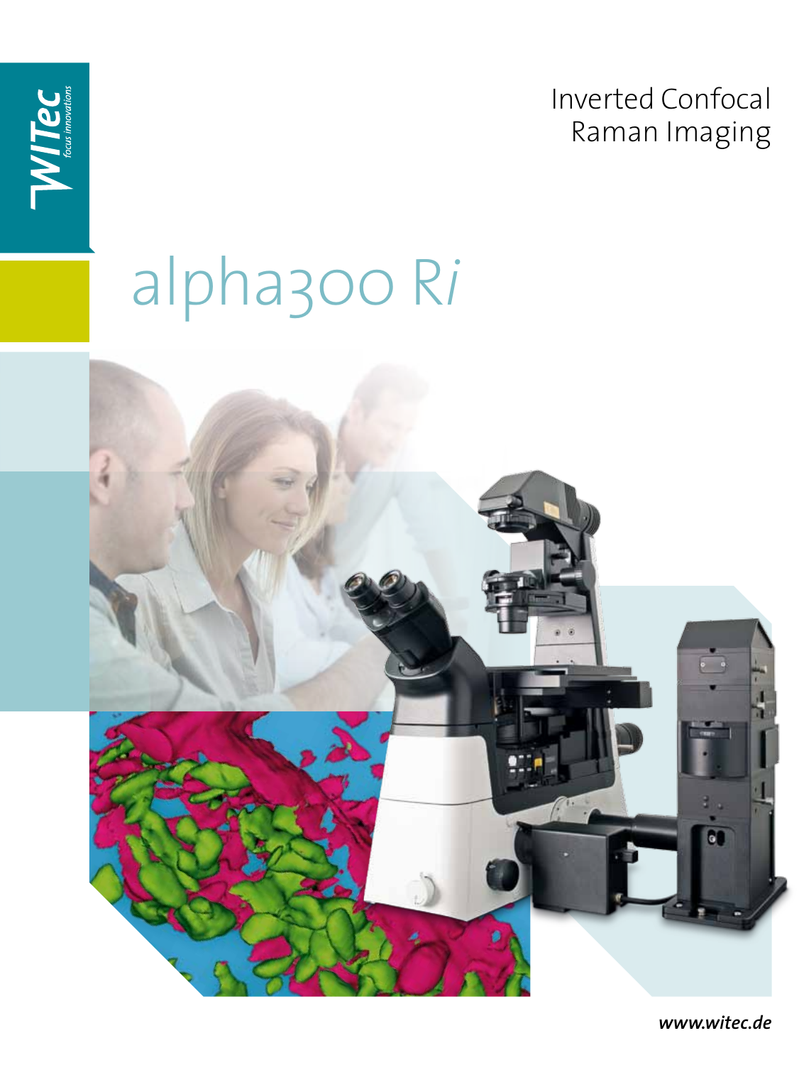**Inverted Confocal** Raman Imaging



## alpha300 Ri

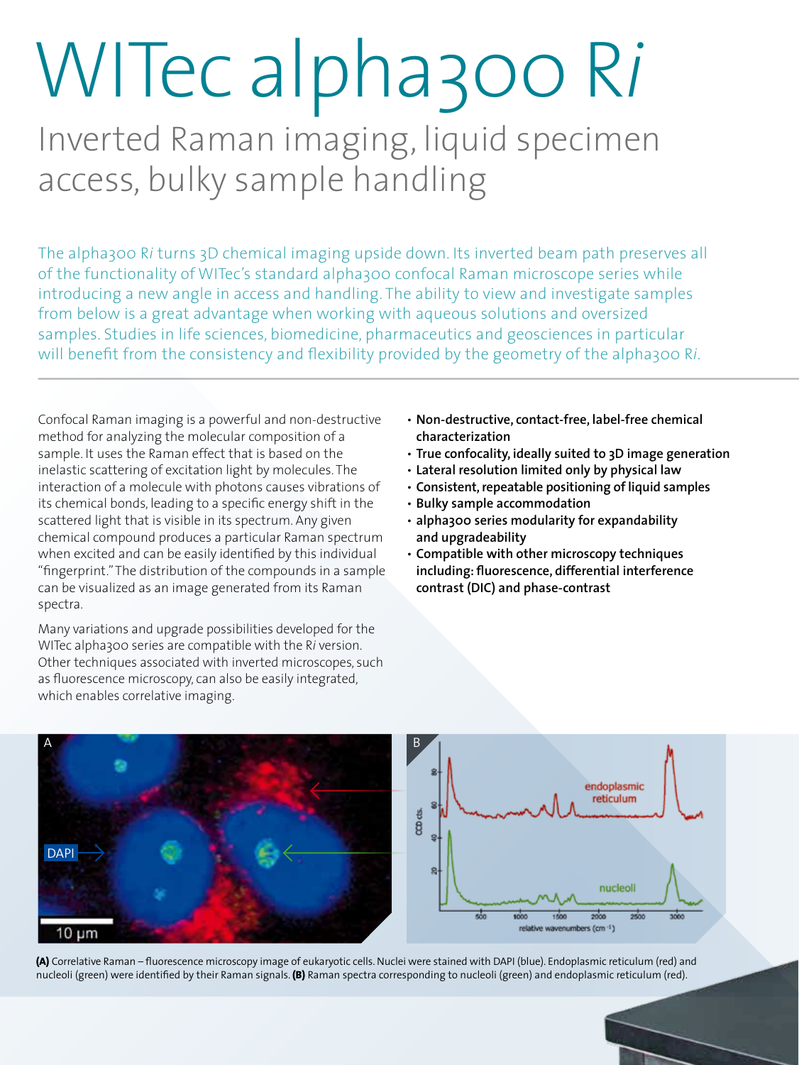# WITec alpha300 R*i*

Inverted Raman imaging, liquid specimen access, bulky sample handling

The alpha300 R*i* turns 3D chemical imaging upside down. Its inverted beam path preserves all of the functionality of WITec's standard alpha300 confocal Raman microscope series while introducing a new angle in access and handling. The ability to view and investigate samples from below is a great advantage when working with aqueous solutions and oversized samples. Studies in life sciences, biomedicine, pharmaceutics and geosciences in particular will benefit from the consistency and flexibility provided by the geometry of the alpha300 R*i*.

Confocal Raman imaging is a powerful and non-destructive method for analyzing the molecular composition of a sample. It uses the Raman effect that is based on the inelastic scattering of excitation light by molecules. The interaction of a molecule with photons causes vibrations of its chemical bonds, leading to a specific energy shift in the scattered light that is visible in its spectrum. Any given chemical compound produces a particular Raman spectrum when excited and can be easily identified by this individual "fingerprint." The distribution of the compounds in a sample can be visualized as an image generated from its Raman spectra.

Many variations and upgrade possibilities developed for the WITec alpha300 series are compatible with the R*i* version. Other techniques associated with inverted microscopes, such as fluorescence microscopy, can also be easily integrated, which enables correlative imaging.

- **Non-destructive, contact-free, label-free chemical characterization**
- **True confocality, ideally suited to 3D image generation**
- **Lateral resolution limited only by physical law**
- **Consistent, repeatable positioning of liquid samples**
- **Bulky sample accommodation**
- **alpha300 series modularity for expandability and upgradeability**
- **Compatible with other microscopy techniques including: fluorescence, differential interference contrast (DIC) and phase-contrast**



**(A)** Correlative Raman – fluorescence microscopy image of eukaryotic cells. Nuclei were stained with DAPI (blue). Endoplasmic reticulum (red) and nucleoli (green) were identified by their Raman signals. **(B)** Raman spectra corresponding to nucleoli (green) and endoplasmic reticulum (red).